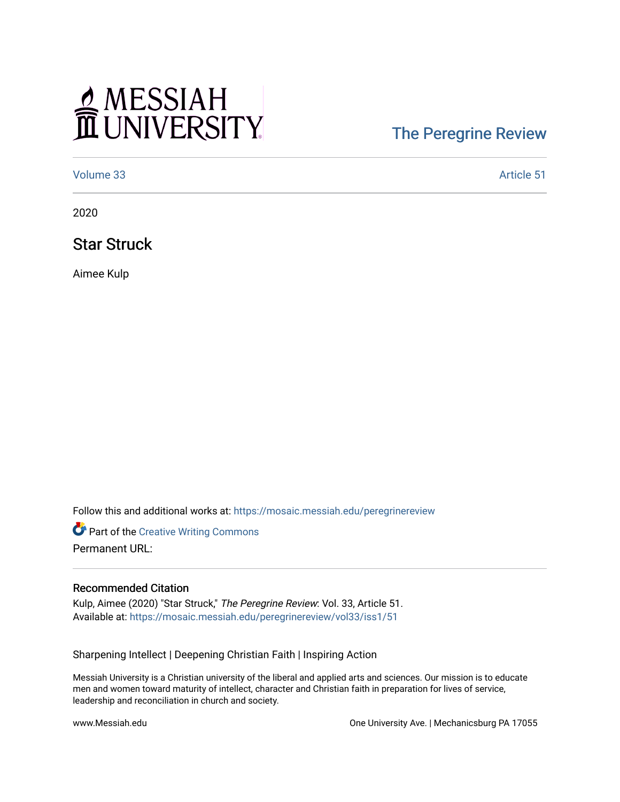## MESSIAH

## [The Peregrine Review](https://mosaic.messiah.edu/peregrinereview)

[Volume 33](https://mosaic.messiah.edu/peregrinereview/vol33) Article 51

2020

Star Struck

Aimee Kulp

Follow this and additional works at: [https://mosaic.messiah.edu/peregrinereview](https://mosaic.messiah.edu/peregrinereview?utm_source=mosaic.messiah.edu%2Fperegrinereview%2Fvol33%2Fiss1%2F51&utm_medium=PDF&utm_campaign=PDFCoverPages) 

Part of the [Creative Writing Commons](http://network.bepress.com/hgg/discipline/574?utm_source=mosaic.messiah.edu%2Fperegrinereview%2Fvol33%2Fiss1%2F51&utm_medium=PDF&utm_campaign=PDFCoverPages)  Permanent URL:

## Recommended Citation

Kulp, Aimee (2020) "Star Struck," The Peregrine Review: Vol. 33, Article 51. Available at: [https://mosaic.messiah.edu/peregrinereview/vol33/iss1/51](https://mosaic.messiah.edu/peregrinereview/vol33/iss1/51?utm_source=mosaic.messiah.edu%2Fperegrinereview%2Fvol33%2Fiss1%2F51&utm_medium=PDF&utm_campaign=PDFCoverPages)

Sharpening Intellect | Deepening Christian Faith | Inspiring Action

Messiah University is a Christian university of the liberal and applied arts and sciences. Our mission is to educate men and women toward maturity of intellect, character and Christian faith in preparation for lives of service, leadership and reconciliation in church and society.

www.Messiah.edu One University Ave. | Mechanicsburg PA 17055